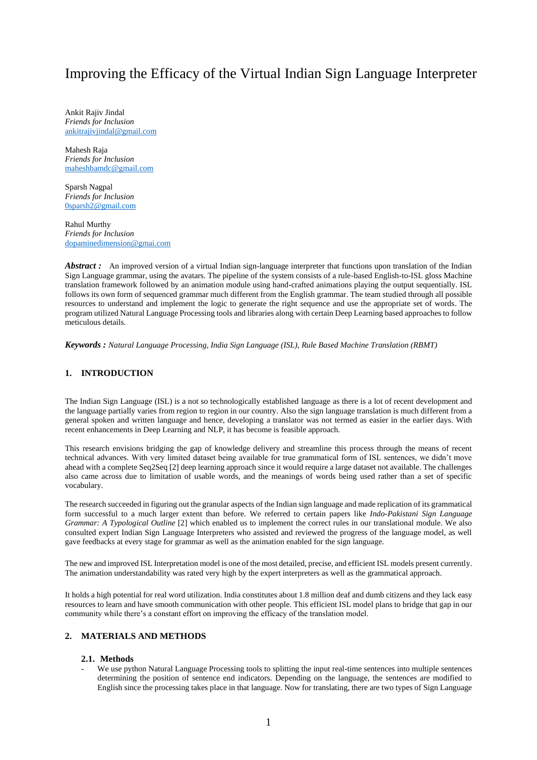# Improving the Efficacy of the Virtual Indian Sign Language Interpreter

Ankit Rajiv Jindal *Friends for Inclusion* [ankitrajivjindal@gmail.com](mailto:ankitrajivjindal@gmail.com)

Mahesh Raja *Friends for Inclusion* [maheshbamdc@gmail.com](mailto:maheshbamdc@gmail.com)

Sparsh Nagpal *Friends for Inclusion* [0sparsh2@gmail.com](mailto:0sparsh2@gmail.com)

Rahul Murthy *Friends for Inclusion* [dopaminedimension@gmai.com](mailto:dopaminedimension@gmai.com)

*Abstract*: An improved version of a virtual Indian sign-language interpreter that functions upon translation of the Indian Sign Language grammar, using the avatars. The pipeline of the system consists of a rule-based English-to-ISL gloss Machine translation framework followed by an animation module using hand-crafted animations playing the output sequentially. ISL follows its own form of sequenced grammar much different from the English grammar. The team studied through all possible resources to understand and implement the logic to generate the right sequence and use the appropriate set of words. The program utilized Natural Language Processing tools and libraries along with certain Deep Learning based approaches to follow meticulous details.

*Keywords : Natural Language Processing, India Sign Language (ISL), Rule Based Machine Translation (RBMT)*

# **1. INTRODUCTION**

The Indian Sign Language (ISL) is a not so technologically established language as there is a lot of recent development and the language partially varies from region to region in our country. Also the sign language translation is much different from a general spoken and written language and hence, developing a translator was not termed as easier in the earlier days. With recent enhancements in Deep Learning and NLP, it has become is feasible approach.

This research envisions bridging the gap of knowledge delivery and streamline this process through the means of recent technical advances. With very limited dataset being available for true grammatical form of ISL sentences, we didn't move ahead with a complete Seq2Seq [2] deep learning approach since it would require a large dataset not available. The challenges also came across due to limitation of usable words, and the meanings of words being used rather than a set of specific vocabulary.

The research succeeded in figuring out the granular aspects of the Indian sign language and made replication of its grammatical form successful to a much larger extent than before. We referred to certain papers like *Indo-Pakistani Sign Language Grammar: A Typological Outline* [2] which enabled us to implement the correct rules in our translational module. We also consulted expert Indian Sign Language Interpreters who assisted and reviewed the progress of the language model, as well gave feedbacks at every stage for grammar as well as the animation enabled for the sign language.

The new and improved ISL Interpretation model is one of the most detailed, precise, and efficient ISL models present currently. The animation understandability was rated very high by the expert interpreters as well as the grammatical approach.

It holds a high potential for real word utilization. India constitutes about 1.8 million deaf and dumb citizens and they lack easy resources to learn and have smooth communication with other people. This efficient ISL model plans to bridge that gap in our community while there's a constant effort on improving the efficacy of the translation model.

## **2. MATERIALS AND METHODS**

## **2.1. Methods**

We use python Natural Language Processing tools to splitting the input real-time sentences into multiple sentences determining the position of sentence end indicators. Depending on the language, the sentences are modified to English since the processing takes place in that language. Now for translating, there are two types of Sign Language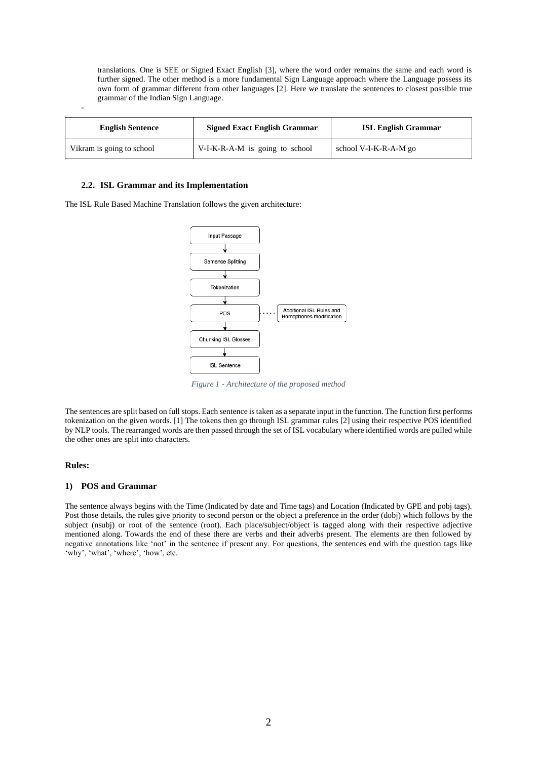translations. One is SEE or Signed Exact English [3], where the word order remains the same and each word is further signed. The other method is a more fundamental Sign Language approach where the Language possess its own form of grammar different from other languages [2]. Here we translate the sentences to closest possible true grammar of the Indian Sign Language.

| <b>English Sentence</b>   | <b>Signed Exact English Grammar</b> | <b>ISL English Grammar</b> |
|---------------------------|-------------------------------------|----------------------------|
| Vikram is going to school | V-I-K-R-A-M is going to school      | school V-I-K-R-A-M go      |

### **2.2. ISL Grammar and its Implementation**

The ISL Rule Based Machine Translation follows the given architecture:



*Figure 1 - Architecture of the proposed method*

The sentences are split based on full stops. Each sentence is taken as a separate input in the function. The function first performs tokenization on the given words. [1] The tokens then go through ISL grammar rules [2] using their respective POS identified by NLP tools. The rearranged words are then passed through the set of ISL vocabulary where identified words are pulled while the other ones are split into characters.

#### **Rules:**

-

#### **1) POS and Grammar**

The sentence always begins with the Time (Indicated by date and Time tags) and Location (Indicated by GPE and pobj tags). Post those details, the rules give priority to second person or the object a preference in the order (dobj) which follows by the subject (nsubj) or root of the sentence (root). Each place/subject/object is tagged along with their respective adjective mentioned along. Towards the end of these there are verbs and their adverbs present. The elements are then followed by negative annotations like 'not' in the sentence if present any. For questions, the sentences end with the question tags like 'why', 'what', 'where', 'how', etc.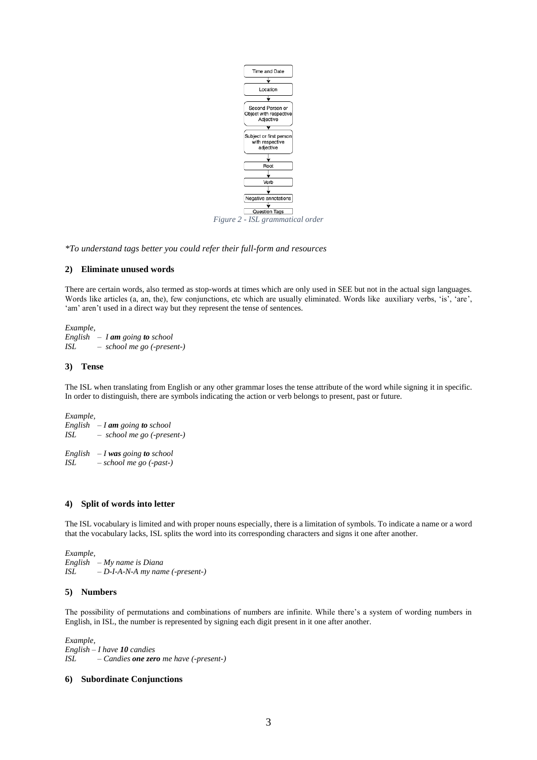

*\*To understand tags better you could refer their full-form and resources* 

## **2) Eliminate unused words**

There are certain words, also termed as stop-words at times which are only used in SEE but not in the actual sign languages. Words like articles (a, an, the), few conjunctions, etc which are usually eliminated. Words like auxiliary verbs, 'is', 'are', 'am' aren't used in a direct way but they represent the tense of sentences.

*Example, English – I am going to school ISL – school me go (-present-)*

## **3) Tense**

The ISL when translating from English or any other grammar loses the tense attribute of the word while signing it in specific. In order to distinguish, there are symbols indicating the action or verb belongs to present, past or future.

*Example, English – I am going to school ISL – school me go (-present-) English – I was going to school ISL – school me go (-past-)*

## **4) Split of words into letter**

The ISL vocabulary is limited and with proper nouns especially, there is a limitation of symbols. To indicate a name or a word that the vocabulary lacks, ISL splits the word into its corresponding characters and signs it one after another.

*Example, English – My name is Diana ISL – D-I-A-N-A my name (-present-)*

## **5) Numbers**

The possibility of permutations and combinations of numbers are infinite. While there's a system of wording numbers in English, in ISL, the number is represented by signing each digit present in it one after another.

*Example, English – I have 10 candies ISL – Candies one zero me have (-present-)*

# **6) Subordinate Conjunctions**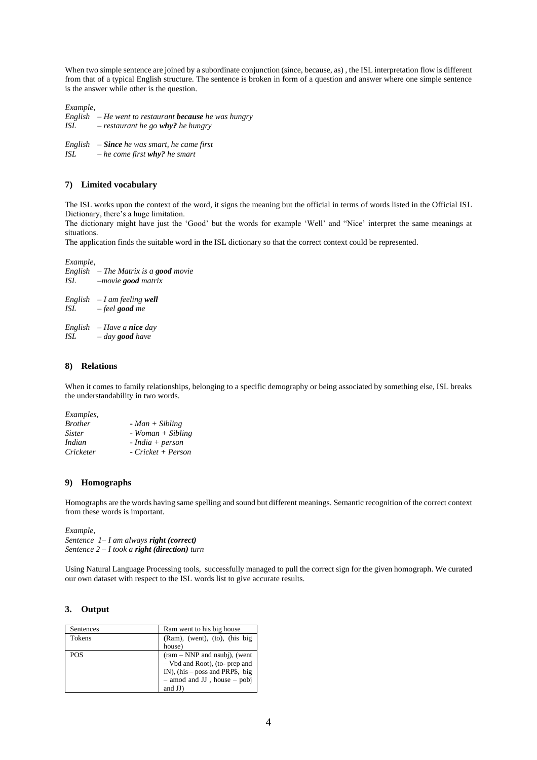When two simple sentence are joined by a subordinate conjunction (since, because, as) , the ISL interpretation flow is different from that of a typical English structure. The sentence is broken in form of a question and answer where one simple sentence is the answer while other is the question.

*Example,*

*English – He went to restaurant because he was hungry ISL – restaurant he go why? he hungry*

*English – Since he was smart, he came first ISL – he come first why? he smart*

## **7) Limited vocabulary**

The ISL works upon the context of the word, it signs the meaning but the official in terms of words listed in the Official ISL Dictionary, there's a huge limitation.

The dictionary might have just the 'Good' but the words for example 'Well' and "Nice' interpret the same meanings at situations.

The application finds the suitable word in the ISL dictionary so that the correct context could be represented.

*Example, English – The Matrix is a good movie ISL –movie good matrix English – I am feeling well ISL – feel good me English – Have a nice day ISL – day good have*

#### **8) Relations**

When it comes to family relationships, belonging to a specific demography or being associated by something else, ISL breaks the understandability in two words.

| Examples,      |                     |
|----------------|---------------------|
| <b>Brother</b> | $-Man + Sibling$    |
| <i>Sister</i>  | $- Woman + Sibling$ |
| Indian         | $- India + person$  |
| Cricketer      | - Cricket + Person  |
|                |                     |

## **9) Homographs**

Homographs are the words having same spelling and sound but different meanings. Semantic recognition of the correct context from these words is important.

*Example, Sentence 1– I am always right (correct) Sentence 2 – I took a right (direction) turn*

Using Natural Language Processing tools, successfully managed to pull the correct sign for the given homograph. We curated our own dataset with respect to the ISL words list to give accurate results.

#### **3. Output**

| Sentences  | Ram went to his big house         |
|------------|-----------------------------------|
| Tokens     | (Ram), (went), (to), (his big     |
|            | house)                            |
| <b>POS</b> | $(ram - NNP$ and nsubj), (went    |
|            | - Vbd and Root), (to- prep and    |
|            | IN), (his $-$ poss and PRP\$, big |
|            | $-$ amod and JJ, house $-$ pobj   |
|            | and JJ)                           |